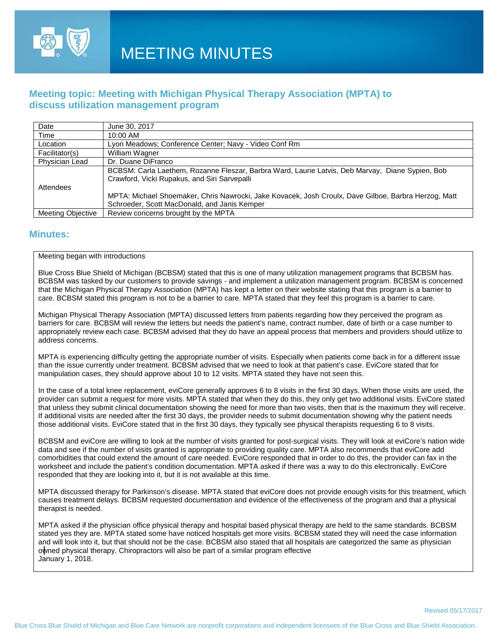

## **Meeting topic: Meeting with Michigan Physical Therapy Association (MPTA) to discuss utilization management program**

| Date                     | June 30, 2017                                                                                                                                    |
|--------------------------|--------------------------------------------------------------------------------------------------------------------------------------------------|
| Time                     | 10:00 AM                                                                                                                                         |
| Location                 | Lyon Meadows; Conference Center; Navy - Video Conf Rm                                                                                            |
| Facilitator(s)           | William Wagner                                                                                                                                   |
| Physician Lead           | Dr. Duane DiFranco                                                                                                                               |
|                          | BCBSM: Carla Laethem, Rozanne Fleszar, Barbra Ward, Laurie Latvis, Deb Marvay, Diane Sypien, Bob<br>Crawford, Vicki Rupakus, and Siri Sarvepalli |
| Attendees                |                                                                                                                                                  |
|                          | MPTA: Michael Shoemaker, Chris Nawrocki, Jake Kovacek, Josh Croulx, Dave Gilboe, Barbra Herzog, Matt                                             |
|                          | Schroeder, Scott MacDonald, and Janis Kemper                                                                                                     |
| <b>Meeting Objective</b> | Review concerns brought by the MPTA                                                                                                              |

### **Minutes:**

#### Meeting began with introductions

Blue Cross Blue Shield of Michigan (BCBSM) stated that this is one of many utilization management programs that BCBSM has. BCBSM was tasked by our customers to provide savings - and implement a utilization management program. BCBSM is concerned that the Michigan Physical Therapy Association (MPTA) has kept a letter on their website stating that this program is a barrier to care. BCBSM stated this program is not to be a barrier to care. MPTA stated that they feel this program is a barrier to care.

Michigan Physical Therapy Association (MPTA) discussed letters from patients regarding how they perceived the program as barriers for care. BCBSM will review the letters but needs the patient's name, contract number, date of birth or a case number to appropriately review each case. BCBSM advised that they do have an appeal process that members and providers should utilize to address concerns.

MPTA is experiencing difficulty getting the appropriate number of visits. Especially when patients come back in for a different issue than the issue currently under treatment. BCBSM advised that we need to look at that patient's case. EviCore stated that for manipulation cases, they should approve about 10 to 12 visits. MPTA stated they have not seen this.

In the case of a total knee replacement, eviCore generally approves 6 to 8 visits in the first 30 days. When those visits are used, the provider can submit a request for more visits. MPTA stated that when they do this, they only get two additional visits. EviCore stated that unless they submit clinical documentation showing the need for more than two visits, then that is the maximum they will receive. If additional visits are needed after the first 30 days, the provider needs to submit documentation showing why the patient needs those additional visits. EviCore stated that in the first 30 days, they typically see physical therapists requesting 6 to 8 visits.

BCBSM and eviCore are willing to look at the number of visits granted for post-surgical visits. They will look at eviCore's nation wide data and see if the number of visits granted is appropriate to providing quality care. MPTA also recommends that eviCore add comorbidities that could extend the amount of care needed. EviCore responded that in order to do this, the provider can fax in the worksheet and include the patient's condition documentation. MPTA asked if there was a way to do this electronically. EviCore responded that they are looking into it, but it is not available at this time.

MPTA discussed therapy for Parkinson's disease. MPTA stated that eviCore does not provide enough visits for this treatment, which causes treatment delays. BCBSM requested documentation and evidence of the effectiveness of the program and that a physical therapist is needed.

MPTA asked if the physician office physical therapy and hospital based physical therapy are held to the same standards. BCBSM stated yes they are. MPTA stated some have noticed hospitals get more visits. BCBSM stated they will need the case information and will look into it, but that should not be the case. BCBSM also stated that all hospitals are categorized the same as physician owned physical therapy. Chiropractors will also be part of a similar program effective January 1, 2018.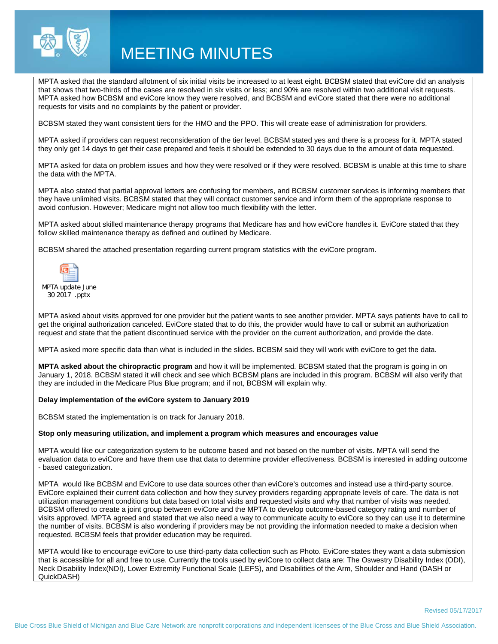

# MEETING MINUTES

MPTA asked that the standard allotment of six initial visits be increased to at least eight. BCBSM stated that eviCore did an analysis that shows that two-thirds of the cases are resolved in six visits or less; and 90% are resolved within two additional visit requests. MPTA asked how BCBSM and eviCore know they were resolved, and BCBSM and eviCore stated that there were no additional requests for visits and no complaints by the patient or provider.

BCBSM stated they want consistent tiers for the HMO and the PPO. This will create ease of administration for providers.

MPTA asked if providers can request reconsideration of the tier level. BCBSM stated yes and there is a process for it. MPTA stated they only get 14 days to get their case prepared and feels it should be extended to 30 days due to the amount of data requested.

MPTA asked for data on problem issues and how they were resolved or if they were resolved. BCBSM is unable at this time to share the data with the MPTA.

MPTA also stated that partial approval letters are confusing for members, and BCBSM customer services is informing members that they have unlimited visits. BCBSM stated that they will contact customer service and inform them of the appropriate response to avoid confusion. However; Medicare might not allow too much flexibility with the letter.

MPTA asked about skilled maintenance therapy programs that Medicare has and how eviCore handles it. EviCore stated that they follow skilled maintenance therapy as defined and outlined by Medicare.

BCBSM shared the attached presentation regarding current program statistics with the eviCore program.



MPTA update June 30 2017 .pptx

MPTA asked about visits approved for one provider but the patient wants to see another provider. MPTA says patients have to call to get the original authorization canceled. EviCore stated that to do this, the provider would have to call or submit an authorization request and state that the patient discontinued service with the provider on the current authorization, and provide the date.

MPTA asked more specific data than what is included in the slides. BCBSM said they will work with eviCore to get the data.

**MPTA asked about the chiropractic program** and how it will be implemented. BCBSM stated that the program is going in on January 1, 2018. BCBSM stated it will check and see which BCBSM plans are included in this program. BCBSM will also verify that they are included in the Medicare Plus Blue program; and if not, BCBSM will explain why.

#### **Delay implementation of the eviCore system to January 2019**

BCBSM stated the implementation is on track for January 2018.

#### **Stop only measuring utilization, and implement a program which measures and encourages value**

MPTA would like our categorization system to be outcome based and not based on the number of visits. MPTA will send the evaluation data to eviCore and have them use that data to determine provider effectiveness. BCBSM is interested in adding outcome - based categorization.

MPTA would like BCBSM and EviCore to use data sources other than eviCore's outcomes and instead use a third-party source. EviCore explained their current data collection and how they survey providers regarding appropriate levels of care. The data is not utilization management conditions but data based on total visits and requested visits and why that number of visits was needed. BCBSM offered to create a joint group between eviCore and the MPTA to develop outcome-based category rating and number of visits approved. MPTA agreed and stated that we also need a way to communicate acuity to eviCore so they can use it to determine the number of visits. BCBSM is also wondering if providers may be not providing the information needed to make a decision when requested. BCBSM feels that provider education may be required.

MPTA would like to encourage eviCore to use third-party data collection such as Photo. EviCore states they want a data submission that is accessible for all and free to use. Currently the tools used by eviCore to collect data are: The Oswestry Disability Index (ODI), Neck Disability Index(NDI), Lower Extremity Functional Scale (LEFS), and Disabilities of the Arm, Shoulder and Hand (DASH or QuickDASH)